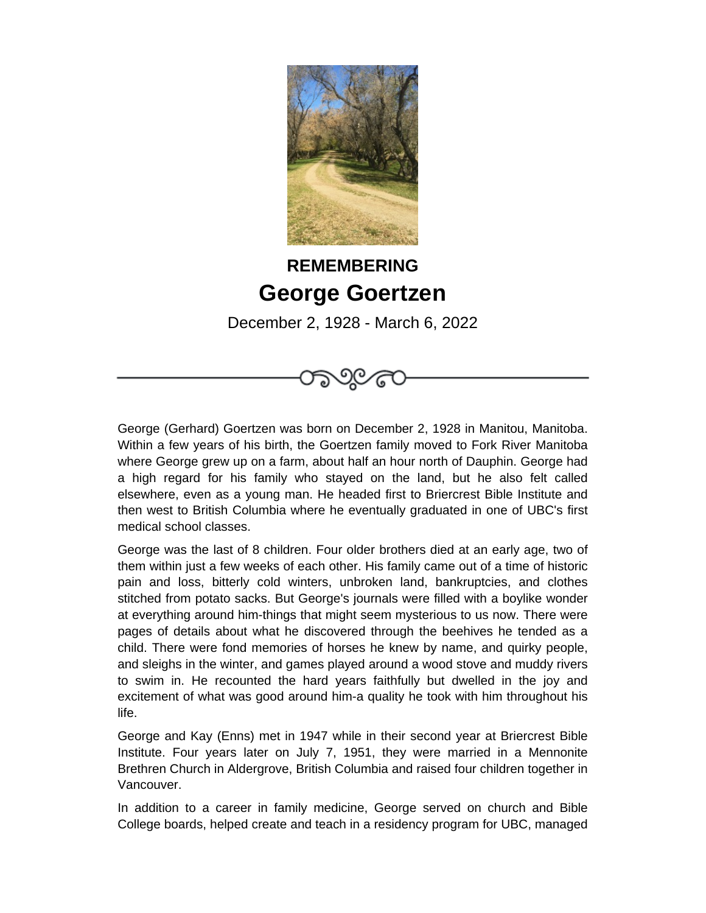

## **REMEMBERING George Goertzen**

December 2, 1928 - March 6, 2022

George (Gerhard) Goertzen was born on December 2, 1928 in Manitou, Manitoba. Within a few years of his birth, the Goertzen family moved to Fork River Manitoba where George grew up on a farm, about half an hour north of Dauphin. George had a high regard for his family who stayed on the land, but he also felt called elsewhere, even as a young man. He headed first to Briercrest Bible Institute and then west to British Columbia where he eventually graduated in one of UBC's first medical school classes.

George was the last of 8 children. Four older brothers died at an early age, two of them within just a few weeks of each other. His family came out of a time of historic pain and loss, bitterly cold winters, unbroken land, bankruptcies, and clothes stitched from potato sacks. But George's journals were filled with a boylike wonder at everything around him-things that might seem mysterious to us now. There were pages of details about what he discovered through the beehives he tended as a child. There were fond memories of horses he knew by name, and quirky people, and sleighs in the winter, and games played around a wood stove and muddy rivers to swim in. He recounted the hard years faithfully but dwelled in the joy and excitement of what was good around him-a quality he took with him throughout his life.

George and Kay (Enns) met in 1947 while in their second year at Briercrest Bible Institute. Four years later on July 7, 1951, they were married in a Mennonite Brethren Church in Aldergrove, British Columbia and raised four children together in Vancouver.

In addition to a career in family medicine, George served on church and Bible College boards, helped create and teach in a residency program for UBC, managed